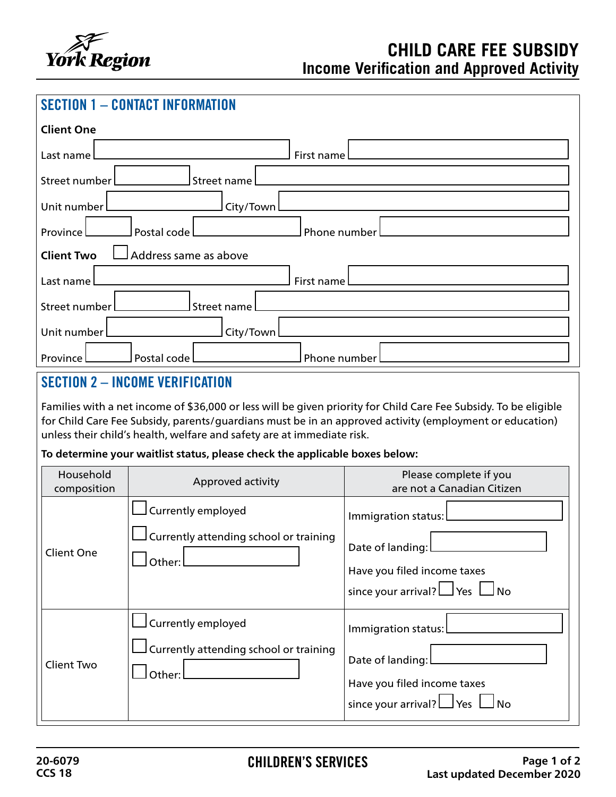

| <b>Client One</b>                                      |  |  |  |
|--------------------------------------------------------|--|--|--|
| First name<br>Last name                                |  |  |  |
| Street number<br>$\Box$ Street name $\Box$             |  |  |  |
| Unit number<br>City/Town                               |  |  |  |
| Province <sub>L</sub><br>$\sf I$ Phone number $\sf L$  |  |  |  |
| $\Box$ Address same as above<br><b>Client Two</b>      |  |  |  |
| First name<br>Last name [                              |  |  |  |
| $\sf J$ Street name $\sf L$<br>Street number           |  |  |  |
| Unit number<br>City/Town                               |  |  |  |
| Province <sup>[</sup><br>Postal code  <br>Phone number |  |  |  |

## SECTION 2 – INCOME VERIFICATION

Families with a net income of \$36,000 or less will be given priority for Child Care Fee Subsidy. To be eligible for Child Care Fee Subsidy, parents/guardians must be in an approved activity (employment or education) unless their child's health, welfare and safety are at immediate risk.

## **To determine your waitlist status, please check the applicable boxes below:**

| Household<br>composition | Approved activity                                                                                     | Please complete if you<br>are not a Canadian Citizen                                                               |
|--------------------------|-------------------------------------------------------------------------------------------------------|--------------------------------------------------------------------------------------------------------------------|
| <b>Client One</b>        | ∫Currently employed<br>$\mathsf{\mathsf{J}}$ Currently attending school or training<br>Other:         | Immigration status:<br>Date of landing:<br>Have you filed income taxes<br>since your arrival? $\Box$ Yes $\Box$ No |
| Client Two               | currently employed<br>$\mathsf{\mathsf{\mathsf{I}}}$ Currently attending school or training<br>Other: | Immigration status:<br>Date of landing:<br>Have you filed income taxes<br>since your arrival? $\Box$ Yes $\Box$ No |